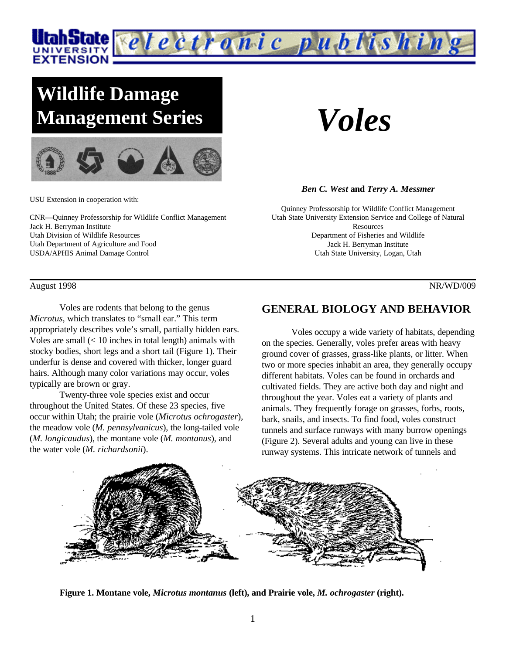

# **Wildlife Damage Management Series**



USU Extension in cooperation with:

CNR—Quinney Professorship for Wildlife Conflict Management Jack H. Berryman Institute Utah Division of Wildlife Resources Utah Department of Agriculture and Food USDA/APHIS Animal Damage Control

#### August 1998 NR/WD/009

Voles are rodents that belong to the genus *Microtus*, which translates to "small ear." This term appropriately describes vole's small, partially hidden ears. Voles are small (< 10 inches in total length) animals with stocky bodies, short legs and a short tail (Figure 1). Their underfur is dense and covered with thicker, longer guard hairs. Although many color variations may occur, voles typically are brown or gray.

Twenty-three vole species exist and occur throughout the United States. Of these 23 species, five occur within Utah; the prairie vole (*Microtus ochrogaster*), the meadow vole (*M. pennsylvanicus*), the long-tailed vole (*M. longicaudus*), the montane vole (*M. montanus*), and the water vole (*M. richardsonii*).

*Voles*

#### *Ben C. West* **and** *Terry A. Messmer*

Quinney Professorship for Wildlife Conflict Management Utah State University Extension Service and College of Natural Resources Department of Fisheries and Wildlife Jack H. Berryman Institute Utah State University, Logan, Utah

## **GENERAL BIOLOGY AND BEHAVIOR**

Voles occupy a wide variety of habitats, depending on the species. Generally, voles prefer areas with heavy ground cover of grasses, grass-like plants, or litter. When two or more species inhabit an area, they generally occupy different habitats. Voles can be found in orchards and cultivated fields. They are active both day and night and throughout the year. Voles eat a variety of plants and animals. They frequently forage on grasses, forbs, roots, bark, snails, and insects. To find food, voles construct tunnels and surface runways with many burrow openings (Figure 2). Several adults and young can live in these runway systems. This intricate network of tunnels and



**Figure 1. Montane vole,** *Microtus montanus* **(left), and Prairie vole,** *M. ochrogaster* **(right).**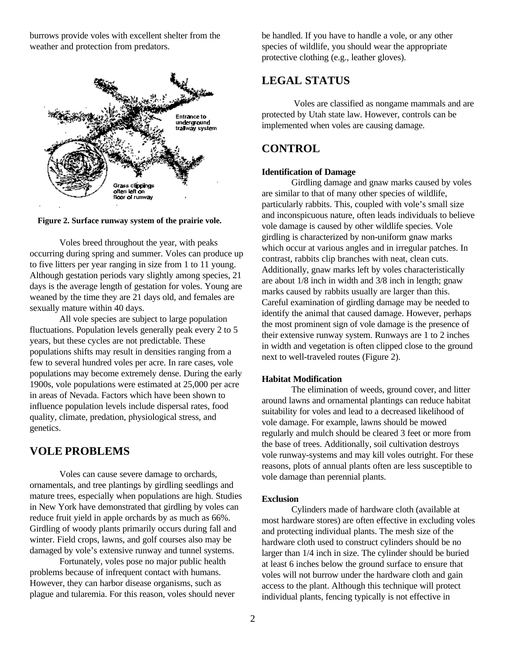burrows provide voles with excellent shelter from the weather and protection from predators.



**Figure 2. Surface runway system of the prairie vole.**

Voles breed throughout the year, with peaks occurring during spring and summer. Voles can produce up to five litters per year ranging in size from 1 to 11 young. Although gestation periods vary slightly among species, 21 days is the average length of gestation for voles. Young are weaned by the time they are 21 days old, and females are sexually mature within 40 days.

All vole species are subject to large population fluctuations. Population levels generally peak every 2 to 5 years, but these cycles are not predictable. These populations shifts may result in densities ranging from a few to several hundred voles per acre. In rare cases, vole populations may become extremely dense. During the early 1900s, vole populations were estimated at 25,000 per acre in areas of Nevada. Factors which have been shown to influence population levels include dispersal rates, food quality, climate, predation, physiological stress, and genetics.

# **VOLE PROBLEMS**

Voles can cause severe damage to orchards, ornamentals, and tree plantings by girdling seedlings and mature trees, especially when populations are high. Studies in New York have demonstrated that girdling by voles can reduce fruit yield in apple orchards by as much as 66%. Girdling of woody plants primarily occurs during fall and winter. Field crops, lawns, and golf courses also may be damaged by vole's extensive runway and tunnel systems.

Fortunately, voles pose no major public health problems because of infrequent contact with humans. However, they can harbor disease organisms, such as plague and tularemia. For this reason, voles should never be handled. If you have to handle a vole, or any other species of wildlife, you should wear the appropriate protective clothing (e.g., leather gloves).

# **LEGAL STATUS**

 Voles are classified as nongame mammals and are protected by Utah state law. However, controls can be implemented when voles are causing damage.

# **CONTROL**

#### **Identification of Damage**

Girdling damage and gnaw marks caused by voles are similar to that of many other species of wildlife, particularly rabbits. This, coupled with vole's small size and inconspicuous nature, often leads individuals to believe vole damage is caused by other wildlife species. Vole girdling is characterized by non-uniform gnaw marks which occur at various angles and in irregular patches. In contrast, rabbits clip branches with neat, clean cuts. Additionally, gnaw marks left by voles characteristically are about 1/8 inch in width and 3/8 inch in length; gnaw marks caused by rabbits usually are larger than this. Careful examination of girdling damage may be needed to identify the animal that caused damage. However, perhaps the most prominent sign of vole damage is the presence of their extensive runway system. Runways are 1 to 2 inches in width and vegetation is often clipped close to the ground next to well-traveled routes (Figure 2).

#### **Habitat Modification**

The elimination of weeds, ground cover, and litter around lawns and ornamental plantings can reduce habitat suitability for voles and lead to a decreased likelihood of vole damage. For example, lawns should be mowed regularly and mulch should be cleared 3 feet or more from the base of trees. Additionally, soil cultivation destroys vole runway-systems and may kill voles outright. For these reasons, plots of annual plants often are less susceptible to vole damage than perennial plants.

#### **Exclusion**

Cylinders made of hardware cloth (available at most hardware stores) are often effective in excluding voles and protecting individual plants. The mesh size of the hardware cloth used to construct cylinders should be no larger than 1/4 inch in size. The cylinder should be buried at least 6 inches below the ground surface to ensure that voles will not burrow under the hardware cloth and gain access to the plant. Although this technique will protect individual plants, fencing typically is not effective in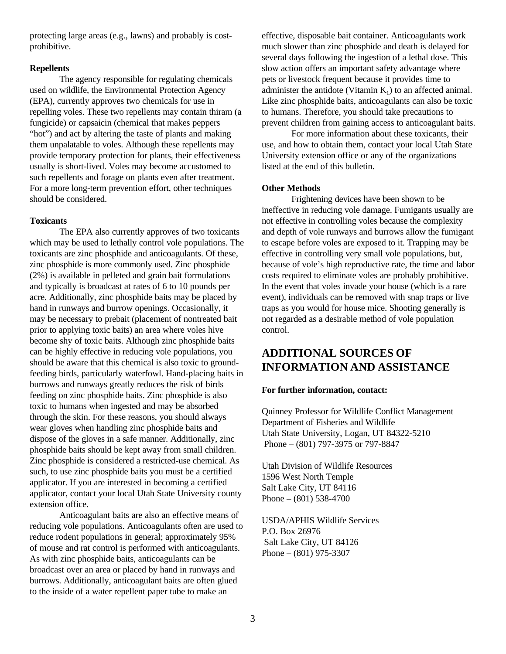protecting large areas (e.g., lawns) and probably is costprohibitive.

### **Repellents**

The agency responsible for regulating chemicals used on wildlife, the Environmental Protection Agency (EPA), currently approves two chemicals for use in repelling voles. These two repellents may contain thiram (a fungicide) or capsaicin (chemical that makes peppers "hot") and act by altering the taste of plants and making them unpalatable to voles. Although these repellents may provide temporary protection for plants, their effectiveness usually is short-lived. Voles may become accustomed to such repellents and forage on plants even after treatment. For a more long-term prevention effort, other techniques should be considered.

#### **Toxicants**

The EPA also currently approves of two toxicants which may be used to lethally control vole populations. The toxicants are zinc phosphide and anticoagulants. Of these, zinc phosphide is more commonly used. Zinc phosphide (2%) is available in pelleted and grain bait formulations and typically is broadcast at rates of 6 to 10 pounds per acre. Additionally, zinc phosphide baits may be placed by hand in runways and burrow openings. Occasionally, it may be necessary to prebait (placement of nontreated bait prior to applying toxic baits) an area where voles hive become shy of toxic baits. Although zinc phosphide baits can be highly effective in reducing vole populations, you should be aware that this chemical is also toxic to groundfeeding birds, particularly waterfowl. Hand-placing baits in burrows and runways greatly reduces the risk of birds feeding on zinc phosphide baits. Zinc phosphide is also toxic to humans when ingested and may be absorbed through the skin. For these reasons, you should always wear gloves when handling zinc phosphide baits and dispose of the gloves in a safe manner. Additionally, zinc phosphide baits should be kept away from small children. Zinc phosphide is considered a restricted-use chemical. As such, to use zinc phosphide baits you must be a certified applicator. If you are interested in becoming a certified applicator, contact your local Utah State University county extension office.

Anticoagulant baits are also an effective means of reducing vole populations. Anticoagulants often are used to reduce rodent populations in general; approximately 95% of mouse and rat control is performed with anticoagulants. As with zinc phosphide baits, anticoagulants can be broadcast over an area or placed by hand in runways and burrows. Additionally, anticoagulant baits are often glued to the inside of a water repellent paper tube to make an

effective, disposable bait container. Anticoagulants work much slower than zinc phosphide and death is delayed for several days following the ingestion of a lethal dose. This slow action offers an important safety advantage where pets or livestock frequent because it provides time to administer the antidote (Vitamin  $K_1$ ) to an affected animal. Like zinc phosphide baits, anticoagulants can also be toxic to humans. Therefore, you should take precautions to prevent children from gaining access to anticoagulant baits.

For more information about these toxicants, their use, and how to obtain them, contact your local Utah State University extension office or any of the organizations listed at the end of this bulletin.

### **Other Methods**

Frightening devices have been shown to be ineffective in reducing vole damage. Fumigants usually are not effective in controlling voles because the complexity and depth of vole runways and burrows allow the fumigant to escape before voles are exposed to it. Trapping may be effective in controlling very small vole populations, but, because of vole's high reproductive rate, the time and labor costs required to eliminate voles are probably prohibitive. In the event that voles invade your house (which is a rare event), individuals can be removed with snap traps or live traps as you would for house mice. Shooting generally is not regarded as a desirable method of vole population control.

# **ADDITIONAL SOURCES OF INFORMATION AND ASSISTANCE**

#### **For further information, contact:**

Quinney Professor for Wildlife Conflict Management Department of Fisheries and Wildlife Utah State University, Logan, UT 84322-5210 Phone – (801) 797-3975 or 797-8847

Utah Division of Wildlife Resources 1596 West North Temple Salt Lake City, UT 84116 Phone – (801) 538-4700

USDA/APHIS Wildlife Services P.O. Box 26976 Salt Lake City, UT 84126 Phone – (801) 975-3307